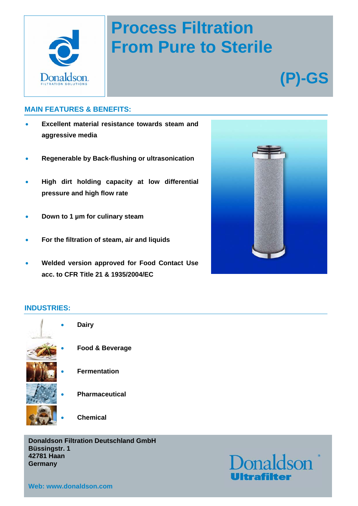

## **Process Filtration From Pure to Sterile**

# **(P)-GS**

#### **MAIN FEATURES & BENEFITS:**

- **Excellent material resistance towards steam and aggressive media**
- **Regenerable by Back-flushing or ultrasonication**
- **High dirt holding capacity at low differential pressure and high flow rate**
- **Down to 1 µm for culinary steam**
- **For the filtration of steam, air and liquids**
- **Welded version approved for Food Contact Use acc. to CFR Title 21 & 1935/2004/EC**



#### **INDUSTRIES:**



**Donaldson Filtration Deutschland GmbH Büssingstr. 1 42781 Haan Germany** 

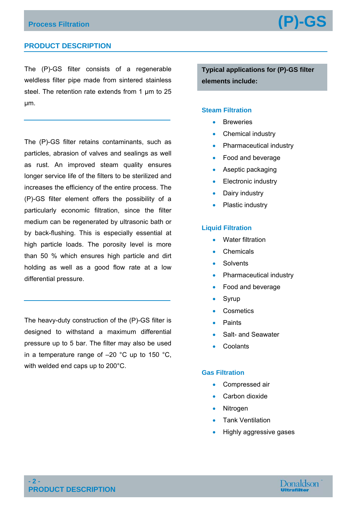### **Process Filtration (P)-GS**

#### **PRODUCT DESCRIPTION**

The (P)-GS filter consists of a regenerable weldless filter pipe made from sintered stainless steel. The retention rate extends from 1 μm to 25 μm.

The (P)-GS filter retains contaminants, such as particles, abrasion of valves and sealings as well as rust. An improved steam quality ensures longer service life of the filters to be sterilized and increases the efficiency of the entire process. The (P)-GS filter element offers the possibility of a particularly economic filtration, since the filter medium can be regenerated by ultrasonic bath or by back-flushing. This is especially essential at high particle loads. The porosity level is more than 50 % which ensures high particle and dirt holding as well as a good flow rate at a low differential pressure.

The heavy-duty construction of the (P)-GS filter is designed to withstand a maximum differential pressure up to 5 bar. The filter may also be used in a temperature range of –20 °C up to 150 °C, with welded end caps up to 200°C.

**Typical applications for (P)-GS filter elements include:** 

#### **Steam Filtration**

- **Breweries**
- Chemical industry
- Pharmaceutical industry
- Food and beverage
- Aseptic packaging
- Electronic industry
- Dairy industry
- Plastic industry

#### **Liquid Filtration**

- Water filtration
- Chemicals
- **Solvents**
- Pharmaceutical industry
- Food and beverage
- Syrup
- **Cosmetics**
- Paints
- Salt- and Seawater
- **Coolants**

#### **Gas Filtration**

- Compressed air
- Carbon dioxide
- Nitrogen
- Tank Ventilation
- Highly aggressive gases

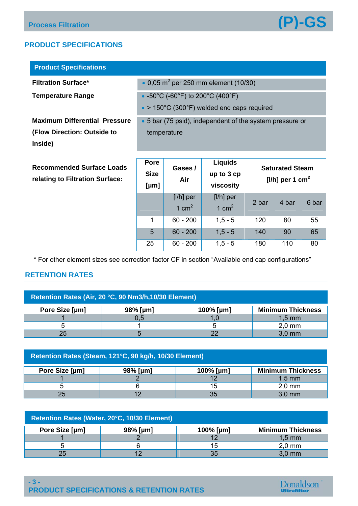#### **PRODUCT SPECIFICATIONS**

| <b>Product Specifications</b>                                                  |                                                                                        |                |                              |                                                           |  |
|--------------------------------------------------------------------------------|----------------------------------------------------------------------------------------|----------------|------------------------------|-----------------------------------------------------------|--|
| <b>Filtration Surface*</b>                                                     | • 0,05 $m^2$ per 250 mm element (10/30)                                                |                |                              |                                                           |  |
| <b>Temperature Range</b>                                                       | • -50°C (-60°F) to 200°C (400°F)<br>$\bullet$ > 150°C (300°F) welded end caps required |                |                              |                                                           |  |
| <b>Maximum Differential Pressure</b><br>(Flow Direction: Outside to<br>Inside) | • 5 bar (75 psid), independent of the system pressure or<br>temperature                |                |                              |                                                           |  |
| <b>Recommended Surface Loads</b><br>relating to Filtration Surface:            | <b>Pore</b><br><b>Size</b>                                                             | Gases /<br>Air | <b>Liquids</b><br>up to 3 cp | <b>Saturated Steam</b><br>[ $I/h$ ] per 1 cm <sup>2</sup> |  |

 **[µm] viscosity**  [l/h] per 1  $cm<sup>2</sup>$ [l/h] per  $1 \text{ cm}^2$  2 bar 4 bar 6 bar 1 60 - 200 1,5 - 5 120 80 55 5 60 - 200 1,5 - 5 140 90 65 25 60 - 200 1,5 - 5 180 110 80

\* For other element sizes see correction factor CF in section "Available end cap configurations"

#### **RETENTION RATES**

| Retention Rates (Air, 20 °C, 90 Nm3/h, 10/30 Element) |          |                 |                          |  |  |
|-------------------------------------------------------|----------|-----------------|--------------------------|--|--|
| Pore Size [µm]                                        | 98% [µm] | 100% [ $\mu$ m] | <b>Minimum Thickness</b> |  |  |
|                                                       | 0.5      |                 | $1.5 \text{ mm}$         |  |  |
|                                                       |          |                 | $2.0$ mm                 |  |  |
| 25                                                    |          | ററ              | $3.0$ mm                 |  |  |

| Retention Rates (Steam, 121°C, 90 kg/h, 10/30 Element) |             |                 |                          |  |  |
|--------------------------------------------------------|-------------|-----------------|--------------------------|--|--|
| Pore Size [µm]                                         | $98\%$ [µm] | 100% [ $\mu$ m] | <b>Minimum Thickness</b> |  |  |
|                                                        |             |                 | $1,5$ mm                 |  |  |
|                                                        |             | 15              | $2.0$ mm                 |  |  |
| 25                                                     |             | 35              | $3.0$ mm                 |  |  |

| Retention Rates (Water, 20°C, 10/30 Element) |          |                 |                          |  |  |
|----------------------------------------------|----------|-----------------|--------------------------|--|--|
| Pore Size [µm]                               | 98% [µm] | 100% [ $\mu$ m] | <b>Minimum Thickness</b> |  |  |
|                                              |          |                 | $1,5 \text{ mm}$         |  |  |
|                                              |          | 15              | $2,0$ mm                 |  |  |
|                                              | 1つ       | 35              | $3.0$ mm                 |  |  |

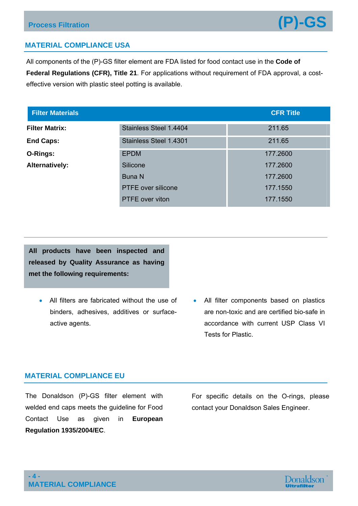

#### **MATERIAL COMPLIANCE USA**

All components of the (P)-GS filter element are FDA listed for food contact use in the **Code of Federal Regulations (CFR), Title 21**. For applications without requirement of FDA approval, a costeffective version with plastic steel potting is available.

| <b>Filter Materials</b> |                           | <b>CFR Title</b> |
|-------------------------|---------------------------|------------------|
| <b>Filter Matrix:</b>   | Stainless Steel 1.4404    | 211.65           |
| <b>End Caps:</b>        | Stainless Steel 1.4301    | 211.65           |
| O-Rings:                | <b>EPDM</b>               | 177.2600         |
| Alternatively:          | Silicone                  | 177.2600         |
|                         | <b>Buna N</b>             | 177.2600         |
|                         | <b>PTFE</b> over silicone | 177.1550         |
|                         | <b>PTFE</b> over viton    | 177.1550         |

**All products have been inspected and released by Quality Assurance as having met the following requirements:** 

- All filters are fabricated without the use of binders, adhesives, additives or surfaceactive agents.
- All filter components based on plastics are non-toxic and are certified bio-safe in accordance with current USP Class VI Tests for Plastic.

#### **MATERIAL COMPLIANCE EU**

The Donaldson (P)-GS filter element with welded end caps meets the guideline for Food Contact Use as given in **European Regulation 1935/2004/EC**.

For specific details on the O-rings, please contact your Donaldson Sales Engineer.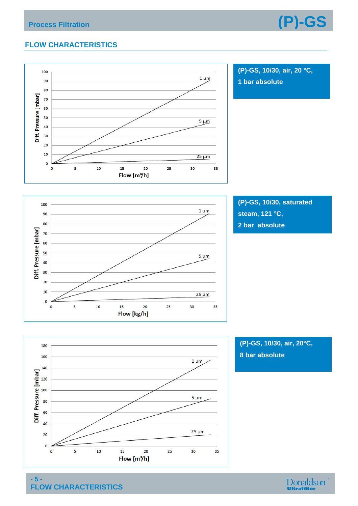

### **FLOW CHARACTERISTICS**



**(P)-GS, 10/30, air, 20 °C, 1 bar absolute** 



**(P)-GS, 10/30, saturated steam, 121 °C, 2 bar absolute** 



**(P)-GS, 10/30, air, 20°C, 8 bar absolute**

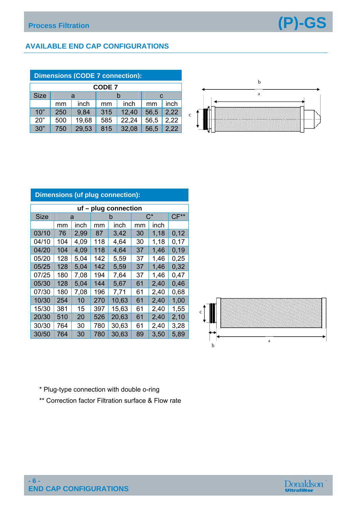

#### **AVAILABLE END CAP CONFIGURATIONS**

| <b>Dimensions (CODE 7 connection):</b> |     |        |     |       |      |      |
|----------------------------------------|-----|--------|-----|-------|------|------|
| <b>CODE 7</b>                          |     |        |     |       |      |      |
| <b>Size</b>                            |     | a<br>C |     |       |      |      |
|                                        | mm  | inch   | mm  | inch  | mm   | inch |
| 10"                                    | 250 | 9,84   | 315 | 12,40 | 56,5 | 2,22 |
| 20"                                    | 500 | 19,68  | 585 | 22,24 | 56,5 | 2,22 |
| 30"                                    | 750 | 29,53  | 815 | 32,08 | 56,5 | 2.22 |



#### **uf – plug connection**  Size a b  $C^*$   $C^{**}$  $mm$  inch  $mm$  inch  $mm$  inch 03/10 76 2,99 87 3,42 30 1,18 0,12 04/10 104 4,09 118 4,64 30 1,18 0,17 04/20 | 104 | 4,09 | 118 | 4,64 | 37 | 1,46 | 0,19 05/20 | 128 | 5,04 | 142 | 5,59 | 37 | 1,46 | 0,25 05/25 128 5,04 142 5,59 37 1,46 0,32 07/25 | 180 | 7,08 | 194 | 7,64 | 37 | 1,46 | 0,47 05/30 128 5,04 144 5,67 61 2,40 0,46 07/30 180 7,08 196 7,71 61 2,40 0,68 10/30 254 10 270 10,63 61 2,40 1,00 15/30 381 15 397 15,63 61 2,40 1,55 20/30 510 20 526 20,63 61 2,40 2,10 30/30 764 30 780 30,63 61 2,40 3,28 30/50 764 30 780 30,63 89 3,50 5,89 **Dimensions (uf plug connection):**



- \* Plug-type connection with double o-ring
- \*\* Correction factor Filtration surface & Flow rate